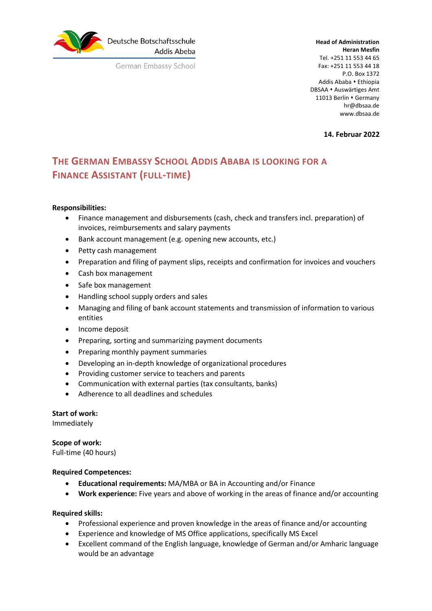

German Embassy School

**Head of Administration Heran Mesfin** Tel. +251 11 553 44 65 Fax: +251 11 553 44 18 P.O. Box 1372 Addis Ababa • Ethiopia DBSAA • Auswärtiges Amt 11013 Berlin • Germany hr@dbsaa.de www.dbsaa.de

**14. Februar 2022**

# **THE GERMAN EMBASSY SCHOOL ADDIS ABABA IS LOOKING FOR A FINANCE ASSISTANT (FULL-TIME)**

## **Responsibilities:**

- Finance management and disbursements (cash, check and transfers incl. preparation) of invoices, reimbursements and salary payments
- Bank account management (e.g. opening new accounts, etc.)
- Petty cash management
- Preparation and filing of payment slips, receipts and confirmation for invoices and vouchers
- Cash box management
- Safe box management
- Handling school supply orders and sales
- Managing and filing of bank account statements and transmission of information to various entities
- Income deposit
- Preparing, sorting and summarizing payment documents
- Preparing monthly payment summaries
- Developing an in-depth knowledge of organizational procedures
- Providing customer service to teachers and parents
- Communication with external parties (tax consultants, banks)
- Adherence to all deadlines and schedules

#### **Start of work:**

Immediately

**Scope of work:**  Full-time (40 hours)

#### **Required Competences:**

- **Educational requirements:** MA/MBA or BA in Accounting and/or Finance
- **Work experience:** Five years and above of working in the areas of finance and/or accounting

#### **Required skills:**

- Professional experience and proven knowledge in the areas of finance and/or accounting
- Experience and knowledge of MS Office applications, specifically MS Excel
- Excellent command of the English language, knowledge of German and/or Amharic language would be an advantage